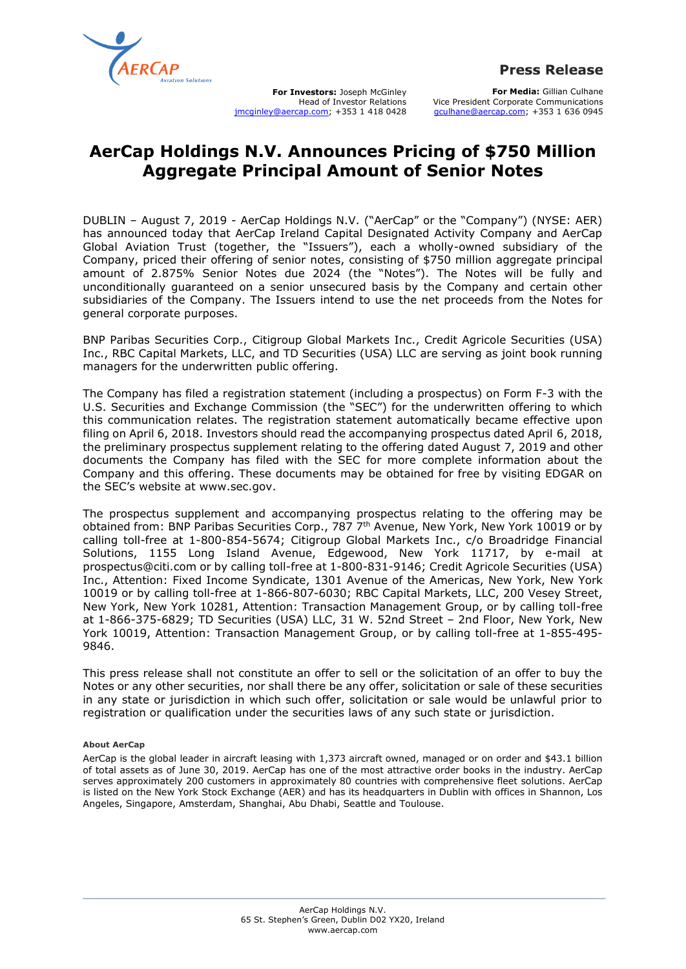

**For Investors:** Joseph McGinley Head of Investor Relations [jmcginley@aercap.com;](mailto:jmcginley@aercap.com) +353 1 418 0428

**For Media:** Gillian Culhane Vice President Corporate Communications [gculhane@aercap.com;](mailto:gculhane@aercap.com) +353 1 636 0945

## **AerCap Holdings N.V. Announces Pricing of \$750 Million Aggregate Principal Amount of Senior Notes**

DUBLIN – August 7, 2019 - AerCap Holdings N.V. ("AerCap" or the "Company") (NYSE: AER) has announced today that AerCap Ireland Capital Designated Activity Company and AerCap Global Aviation Trust (together, the "Issuers"), each a wholly-owned subsidiary of the Company, priced their offering of senior notes, consisting of \$750 million aggregate principal amount of 2.875% Senior Notes due 2024 (the "Notes"). The Notes will be fully and unconditionally guaranteed on a senior unsecured basis by the Company and certain other subsidiaries of the Company. The Issuers intend to use the net proceeds from the Notes for general corporate purposes.

BNP Paribas Securities Corp., Citigroup Global Markets Inc., Credit Agricole Securities (USA) Inc., RBC Capital Markets, LLC, and TD Securities (USA) LLC are serving as joint book running managers for the underwritten public offering.

The Company has filed a registration statement (including a prospectus) on Form F-3 with the U.S. Securities and Exchange Commission (the "SEC") for the underwritten offering to which this communication relates. The registration statement automatically became effective upon filing on April 6, 2018. Investors should read the accompanying prospectus dated April 6, 2018, the preliminary prospectus supplement relating to the offering dated August 7, 2019 and other documents the Company has filed with the SEC for more complete information about the Company and this offering. These documents may be obtained for free by visiting EDGAR on the SEC's website at www.sec.gov.

The prospectus supplement and accompanying prospectus relating to the offering may be obtained from: BNP Paribas Securities Corp., 787 7<sup>th</sup> Avenue, New York, New York 10019 or by calling toll-free at 1-800-854-5674; Citigroup Global Markets Inc., c/o Broadridge Financial Solutions, 1155 Long Island Avenue, Edgewood, New York 11717, by e-mail at prospectus@citi.com or by calling toll-free at 1-800-831-9146; Credit Agricole Securities (USA) Inc., Attention: Fixed Income Syndicate, 1301 Avenue of the Americas, New York, New York 10019 or by calling toll-free at 1-866-807-6030; RBC Capital Markets, LLC, 200 Vesey Street, New York, New York 10281, Attention: Transaction Management Group, or by calling toll-free at 1-866-375-6829; TD Securities (USA) LLC, 31 W. 52nd Street – 2nd Floor, New York, New York 10019, Attention: Transaction Management Group, or by calling toll-free at 1-855-495- 9846.

This press release shall not constitute an offer to sell or the solicitation of an offer to buy the Notes or any other securities, nor shall there be any offer, solicitation or sale of these securities in any state or jurisdiction in which such offer, solicitation or sale would be unlawful prior to registration or qualification under the securities laws of any such state or jurisdiction.

## **About AerCap**

AerCap is the global leader in aircraft leasing with 1,373 aircraft owned, managed or on order and \$43.1 billion of total assets as of June 30, 2019. AerCap has one of the most attractive order books in the industry. AerCap serves approximately 200 customers in approximately 80 countries with comprehensive fleet solutions. AerCap is listed on the New York Stock Exchange (AER) and has its headquarters in Dublin with offices in Shannon, Los Angeles, Singapore, Amsterdam, Shanghai, Abu Dhabi, Seattle and Toulouse.